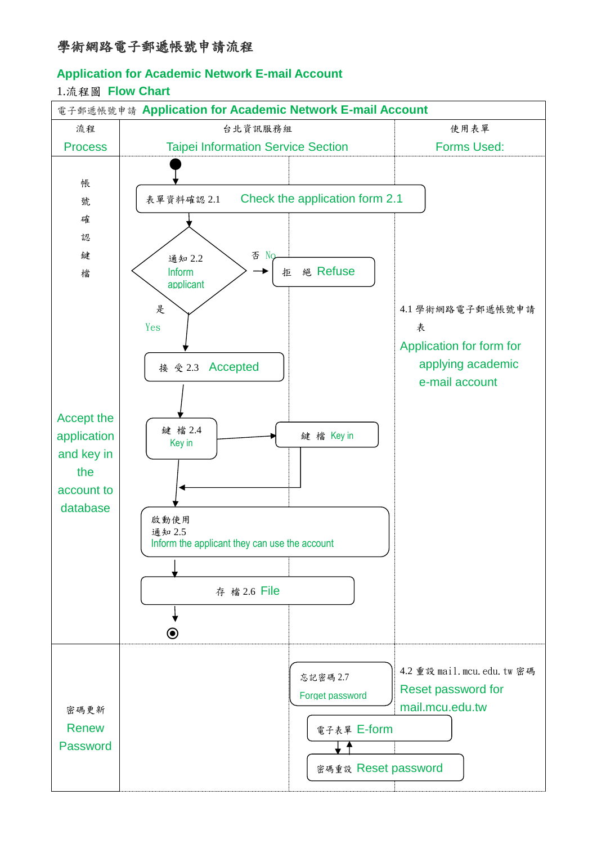## **Application for Academic Network E-mail Account**

## 1.流程圖 **Flow Chart**